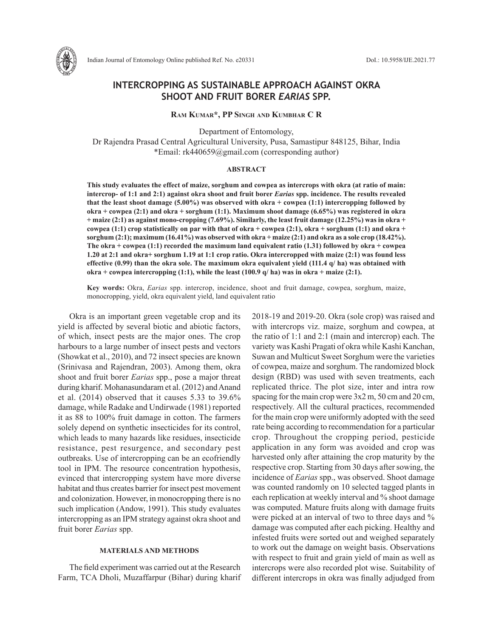

Indian Journal of Entomology Online published Ref. No. e20331 DoI.: 10.5958/IJE.2021.77

# **INTERCROPPING AS SUSTAINABLE APPROACH AGAINST OKRA SHOOT AND FRUIT BORER** *EARIAS* **SPP.**

**Ram Kumar\*, PP Singh and Kumbhar C R**

Department of Entomology, Dr Rajendra Prasad Central Agricultural University, Pusa, Samastipur 848125, Bihar, India \*Email: rk440659@gmail.com (corresponding author)

## **ABSTRACT**

**This study evaluates the effect of maize, sorghum and cowpea as intercrops with okra (at ratio of main: intercrop- of 1:1 and 2:1) against okra shoot and fruit borer** *Earias* **spp. incidence. The results revealed that the least shoot damage (5.00%) was observed with okra + cowpea (1:1) intercropping followed by okra + cowpea (2:1) and okra + sorghum (1:1). Maximum shoot damage (6.65%) was registered in okra + maize (2:1) as against mono-cropping (7.69%). Similarly, the least fruit damage (12.25%) was in okra + cowpea (1:1) crop statistically on par with that of okra + cowpea (2:1), okra + sorghum (1:1) and okra + sorghum (2:1); maximum (16.41%) was observed with okra + maize (2:1) and okra as a sole crop (18.42%). The okra + cowpea (1:1) recorded the maximum land equivalent ratio (1.31) followed by okra + cowpea 1.20 at 2:1 and okra+ sorghum 1.19 at 1:1 crop ratio. Okra intercropped with maize (2:1) was found less effective (0.99) than the okra sole. The maximum okra equivalent yield (111.4 q/ ha) was obtained with okra + cowpea intercropping (1:1), while the least (100.9 q/ ha) was in okra + maize (2:1).**

**Key words:** Okra, *Earias* spp. intercrop, incidence, shoot and fruit damage, cowpea, sorghum, maize, monocropping, yield, okra equivalent yield, land equivalent ratio

Okra is an important green vegetable crop and its yield is affected by several biotic and abiotic factors, of which, insect pests are the major ones. The crop harbours to a large number of insect pests and vectors (Showkat et al., 2010), and 72 insect species are known (Srinivasa and Rajendran, 2003). Among them, okra shoot and fruit borer *Earias* spp., pose a major threat during kharif. Mohanasundaram et al. (2012) and Anand et al. (2014) observed that it causes 5.33 to 39.6% damage, while Radake and Undirwade (1981) reported it as 88 to 100% fruit damage in cotton. The farmers solely depend on synthetic insecticides for its control, which leads to many hazards like residues, insecticide resistance, pest resurgence, and secondary pest outbreaks. Use of intercropping can be an ecofriendly tool in IPM. The resource concentration hypothesis, evinced that intercropping system have more diverse habitat and thus creates barrier for insect pest movement and colonization. However, in monocropping there is no such implication (Andow, 1991). This study evaluates intercropping as an IPM strategy against okra shoot and fruit borer *Earias* spp.

#### **MATERIALS AND METHODS**

The field experiment was carried out at the Research Farm, TCA Dholi, Muzaffarpur (Bihar) during kharif 2018-19 and 2019-20. Okra (sole crop) was raised and with intercrops viz. maize, sorghum and cowpea, at the ratio of 1:1 and 2:1 (main and intercrop) each. The variety was Kashi Pragati of okra while Kashi Kanchan, Suwan and Multicut Sweet Sorghum were the varieties of cowpea, maize and sorghum. The randomized block design (RBD) was used with seven treatments, each replicated thrice. The plot size, inter and intra row spacing for the main crop were 3x2 m, 50 cm and 20 cm, respectively. All the cultural practices, recommended for the main crop were uniformly adopted with the seed rate being according to recommendation for a particular crop. Throughout the cropping period, pesticide application in any form was avoided and crop was harvested only after attaining the crop maturity by the respective crop. Starting from 30 days after sowing, the incidence of *Earias* spp., was observed. Shoot damage was counted randomly on 10 selected tagged plants in each replication at weekly interval and % shoot damage was computed. Mature fruits along with damage fruits were picked at an interval of two to three days and % damage was computed after each picking. Healthy and infested fruits were sorted out and weighed separately to work out the damage on weight basis. Observations with respect to fruit and grain yield of main as well as intercrops were also recorded plot wise. Suitability of different intercrops in okra was finally adjudged from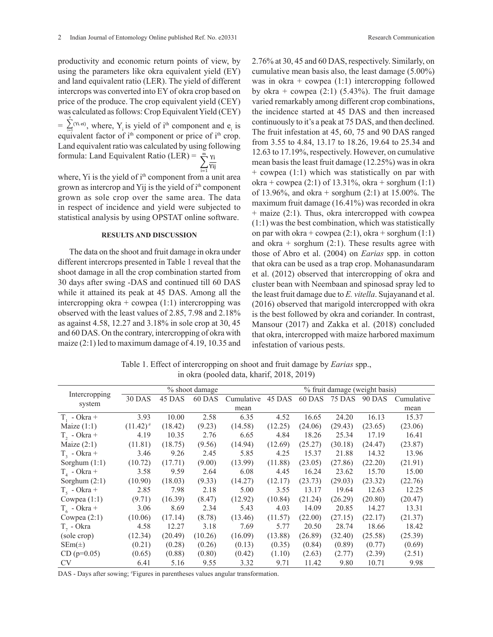productivity and economic return points of view, by using the parameters like okra equivalent yield (EY) and land equivalent ratio (LER). The yield of different intercrops was converted into EY of okra crop based on price of the produce. The crop equivalent yield (CEY) was calculated as follows: Crop Equivalent Yield (CEY)  $=\sum_{i=1}^{n}$ <sup>(Yi. ei)</sup>, where, Y<sub>i</sub> is yield of i<sup>th</sup> component and e<sub>i</sub> is equivalent factor of  $i<sup>th</sup>$  component or price of  $i<sup>th</sup>$  crop. Land equivalent ratio was calculated by using following formula: Land Equivalent Ratio (LER) =  $\frac{m}{N}$  Yi Yij m

i=1 where, Yi is the yield of i<sup>th</sup> component from a unit area grown as intercrop and Yij is the yield of i<sup>th</sup> component grown as sole crop over the same area. The data in respect of incidence and yield were subjected to statistical analysis by using OPSTAT online software.

## **RESULTS AND DISCUSSION**

The data on the shoot and fruit damage in okra under different intercrops presented in Table 1 reveal that the shoot damage in all the crop combination started from 30 days after swing -DAS and continued till 60 DAS while it attained its peak at 45 DAS. Among all the intercropping okra + cowpea  $(1:1)$  intercropping was observed with the least values of 2.85, 7.98 and 2.18% as against 4.58, 12.27 and 3.18% in sole crop at 30, 45 and 60 DAS. On the contrary, intercropping of okra with maize (2:1) led to maximum damage of 4.19, 10.35 and

2.76% at 30, 45 and 60 DAS, respectively. Similarly, on cumulative mean basis also, the least damage (5.00%) was in okra + cowpea  $(1:1)$  intercropping followed by okra + cowpea  $(2:1)$  (5.43%). The fruit damage varied remarkably among different crop combinations, the incidence started at 45 DAS and then increased continuously to it's a peak at 75 DAS, and then declined. The fruit infestation at 45, 60, 75 and 90 DAS ranged from 3.55 to 4.84, 13.17 to 18.26, 19.64 to 25.34 and 12.63 to 17.19%, respectively. However, on cumulative mean basis the least fruit damage (12.25%) was in okra + cowpea (1:1) which was statistically on par with okra + cowpea (2:1) of 13.31%, okra + sorghum  $(1:1)$ of 13.96%, and okra + sorghum  $(2.1)$  at 15.00%. The maximum fruit damage (16.41%) was recorded in okra + maize (2:1). Thus, okra intercropped with cowpea (1:1) was the best combination, which was statistically on par with okra + cowpea  $(2:1)$ , okra + sorghum  $(1:1)$ and okra + sorghum  $(2:1)$ . These results agree with those of Abro et al. (2004) on *Earias* spp. in cotton that okra can be used as a trap crop. Mohanasundaram et al. (2012) observed that intercropping of okra and cluster bean with Neembaan and spinosad spray led to the least fruit damage due to *E. vitella*. Sujayanand et al. (2016) observed that marigold intercropped with okra is the best followed by okra and coriander. In contrast, Mansour (2017) and Zakka et al. (2018) concluded that okra, intercropped with maize harbored maximum infestation of various pests.

Table 1. Effect of intercropping on shoot and fruit damage by *Earias* spp., in okra (pooled data, kharif, 2018, 2019)

|                   | % shoot damage |         |         |            | % fruit damage (weight basis) |         |         |               |            |  |
|-------------------|----------------|---------|---------|------------|-------------------------------|---------|---------|---------------|------------|--|
| Intercropping     | <b>30 DAS</b>  | 45 DAS  | 60 DAS  | Cumulative | 45 DAS                        | 60 DAS  | 75 DAS  | <b>90 DAS</b> | Cumulative |  |
| system            | mean           |         |         |            |                               |         |         |               | mean       |  |
| $T_1$ - Okra +    | 3.93           | 10.00   | 2.58    | 6.35       | 4.52                          | 16.65   | 24.20   | 16.13         | 15.37      |  |
| Maize $(1:1)$     | $(11.42)^{#}$  | (18.42) | (9.23)  | (14.58)    | (12.25)                       | (24.06) | (29.43) | (23.65)       | (23.06)    |  |
| $T_2$ - Okra +    | 4.19           | 10.35   | 2.76    | 6.65       | 4.84                          | 18.26   | 25.34   | 17.19         | 16.41      |  |
| Maize $(2:1)$     | (11.81)        | (18.75) | (9.56)  | (14.94)    | (12.69)                       | (25.27) | (30.18) | (24.47)       | (23.87)    |  |
| $T_{2}$ - Okra +  | 3.46           | 9.26    | 2.45    | 5.85       | 4.25                          | 15.37   | 21.88   | 14.32         | 13.96      |  |
| Sorghum $(1:1)$   | (10.72)        | (17.71) | (9.00)  | (13.99)    | (11.88)                       | (23.05) | (27.86) | (22.20)       | (21.91)    |  |
| $T_{4}$ - Okra +  | 3.58           | 9.59    | 2.64    | 6.08       | 4.45                          | 16.24   | 23.62   | 15.70         | 15.00      |  |
| Sorghum $(2:1)$   | (10.90)        | (18.03) | (9.33)  | (14.27)    | (12.17)                       | (23.73) | (29.03) | (23.32)       | (22.76)    |  |
| $T_5$ - Okra +    | 2.85           | 7.98    | 2.18    | 5.00       | 3.55                          | 13.17   | 19.64   | 12.63         | 12.25      |  |
| Cowpea $(1:1)$    | (9.71)         | (16.39) | (8.47)  | (12.92)    | (10.84)                       | (21.24) | (26.29) | (20.80)       | (20.47)    |  |
| $T_{6}$ - Okra +  | 3.06           | 8.69    | 2.34    | 5.43       | 4.03                          | 14.09   | 20.85   | 14.27         | 13.31      |  |
| Cowpea $(2:1)$    | (10.06)        | (17.14) | (8.78)  | (13.46)    | (11.57)                       | (22.00) | (27.15) | (22.17)       | (21.37)    |  |
| $T7$ - Okra       | 4.58           | 12.27   | 3.18    | 7.69       | 5.77                          | 20.50   | 28.74   | 18.66         | 18.42      |  |
| (sole crop)       | (12.34)        | (20.49) | (10.26) | (16.09)    | (13.88)                       | (26.89) | (32.40) | (25.58)       | (25.39)    |  |
| $\text{SEm}(\pm)$ | (0.21)         | (0.28)  | (0.26)  | (0.13)     | (0.35)                        | (0.84)  | (0.89)  | (0.77)        | (0.69)     |  |
| $CD (p=0.05)$     | (0.65)         | (0.88)  | (0.80)  | (0.42)     | (1.10)                        | (2.63)  | (2.77)  | (2.39)        | (2.51)     |  |
| <b>CV</b>         | 6.41           | 5.16    | 9.55    | 3.32       | 9.71                          | 11.42   | 9.80    | 10.71         | 9.98       |  |

DAS - Days after sowing; # Figures in parentheses values angular transformation.